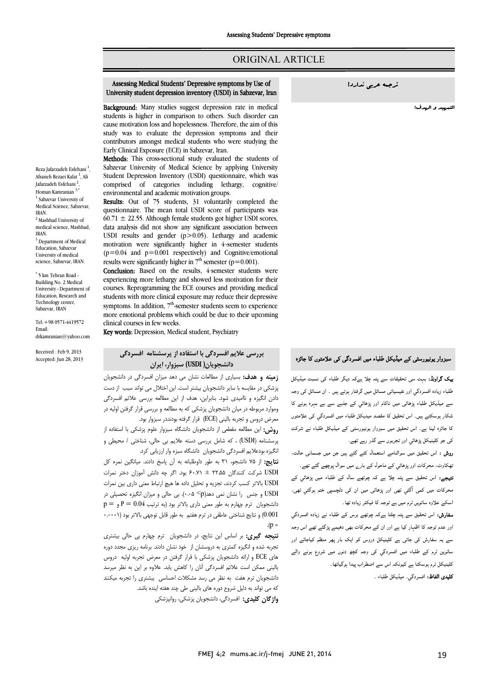# ORIGINAL ARTICLE

#### University student depression inventory (USDI) in Sabzevar, IranAssessing Medical Students' Depressive symptoms by Use of !ندارد عربی ترجمه

Ī  $\overline{a}$ 

**Background:** Many studies suggest depression rate in medical **Background:** Many studies suggest depression rate in incureal cause motivation loss and hopelessness. Therefore, the aim of this study was to evaluate the depression symptoms and their Early Clinical Exposure (ECE) in Sabzevar, Iran. contributors amongst medical students who were studying the

 Methods: This cross-sectional study evaluated the students of Student Depression Inventory (USDI) questionnaire, which was comprised of categories including lethargy, cognitive/ environmental and academic motivation groups.<br>Perultau Out, of 75, students, 31, voluntarily Sabzevar University of Medical Science by applying University

 questionnaire. The mean total USDI score of participants was  $60.71 \pm 22.55$ . Although female students got higher USDI scores, USDI results and gender (p>0.05). Lethargy and academic motivation were significantly higher in 4-semester students ( $p=0.04$  and  $p=0.001$  respectively) and Cognitive/em<br>results were significantly higher in  $7<sup>th</sup>$  semester ( $p=0.001$ ). Results: Out of 75 students, 31 voluntarily completed the data analysis did not show any significant association between  $(p=0.04$  and  $p=0.001$  respectively) and Cognitive/emotional

Conclusion: Based on the results, 4-semester students were experiencing more lethargy and showed less motivation for their students with more clinical exposure may reduce their depressive symptoms. In addition, 7<sup>th</sup>-semester students seem to experience more emotional problems which could be due to their upcoming courses. Reprogramming the ECE courses and providing medical clinical courses in few weeks.

Key words: Depression, Medical student, Psychiatry

# بررسی علایم افسردگی با استفاده از پرسشنامه افسردگی دانشجویان( USDI (سبزوار، ایران

 زمینه و هدف: بسیاري از مطالعات نشان می دهد میزان افسردگی در دانشجویان پزشکی در مقایسه با سایر دانشجویان بیشتر است. این اختلال می تواند سبب از دست دادن انگیزه و ناامیدي شود. بنابراین، هدف از این مطالعه بررسی علائم افسردگی وموارد مربوطه در میان دانشجویان پزشکی که به مطالعه و بررسی قرار گرفتن اولیه در سر*حن درو*س و تجربه پتی*نی رددهها حزار تر*تمه بودهدر سبزوار بود.<br>**روش:** این مطالعه مقطعی از دانشجویان دانشگاه سبزوار علوم پزشکی با استفاده از پرسشنامه (USDI (، که شامل بررسی دسته علایم بی حالی، شناختی / محیطی و انگیزه بودعلایم افسردگی دانشجویان دانشگاه سبزه وار ارزیابی کرد. معرض دروس و تجربه بالینی (ECE (قرار گرفته بودنددر سبزوار بود.

 نتایج: از 75 دانشجو، 31 به طور داوطلبانه به آن پاسخ دادند. میانگین نمره کل USDI شرکت کنندگان 22.55 ± 60.71 بود. اگر چه دانش آموزان دختر نمرات USDI بالاتر کسب کردند، تجزیه و تحلیل داده ها هیچ ارتباط معنی داري بین نمرات USDI و جنس را نشان نمی دهد(p <0.05(. بی حالی و میزان انگیزه تحصیلی در  $\rm p = \rm p = 0.04$  دانشجویان ترم چهارم به طور معنی داری بالاتر بود (به ترتیب $\rm p = 0.04$  و 0.001) و نتایج شناختی عاطفی در ترم هفتم به طور قابل توجهی بالاتر بود (۰.۰۰۰۱<br>- v.  $(p =$ 

.<br>نتیجه گیری: بر اساس این نتایج، در دانشجویان ترم چهارم بی حالی بیشتری تجربه شده و انگیزه کمتري به دروسشان از خود نشان دادند. برنامه ریزي مجدد دوره هاي ECE و ارائه دانشجویان پزشکی با قرار گرفتن در معرض تجربه اولیه دروس بالینی ممکن است علائم افسردگی آنان را کاهش یابد. علاوه بر این به نظر میرسد دانشجویان ترم هفت به نظر می رسد مشکلات احساسی بیشتري را تجربه میکنند که می تواند به دلیل شروع دوره هاي بالینی طی چند هفته اینده باشد. **واژگان کلیدی:** افسردگی، دانشجویان پزشکی، روانپزشکی<br>.

التمهید و الهدف:

Ī  $\overline{a}$ 

# $\overline{\phantom{0}}$ سبزوار یونیورسٹی کے میڈیکل طلباء میں افسردگی کی علامتوں کا جائزہ<br>۔

**یک گراونڈ:** بہت سی تحقیقات سے پتہ چلا ہےکہ دیگر طلباء کی نسبت میڈیکل ۔<br>طلباء زیادہ افسردگي اور نفيسياتی مسائل میں گرفتار ہوتے ہیں ۔ ان مسائل کی وجہ ۔<br>سے میڈیکل طلباء پڑھائی میں ناکام اور پڑھائی کے جذبے سے بے بہرہ ہونے کا ۔<br>شکار ہوسکتے ہیں۔ اس تحقیق کا مقصد میدیکل طلباء میں افسردگي کی علامتوں ۔<br>کا جائزہ لینا ہے۔ اس تحقیق میں سبزوار یونیورسٹی کے میڈیکل طلباء نے شرکت کی جو کلینیکل پڑھائی<sub>،</sub> اور تجربوں سے گذر رہے تھے۔

۔<br>ر**وش :** اس تحقیق میں سوالنامے استعمال کئے گئے ہیں جن میں جسمانی حالت، ۔<br>نھکاوٹ، محرکات اور پڑھائي کے ماحول کے بار<sub>ے</sub> میں سوال پوچھے گئے تھے۔ ۔<br>- اس تحقیق سے پتہ چلا ہے کہ چوتھے سال کے طلباء میں پڑھائي کے ۔<br>**تیجے:** اس تحقیق سے پتہ چلا ہے کہ چوتھے سال کے طلباء میں پڑھائي کے ت آ اور ان د ، ر<br>اسکے علاوہ ساتویں ٹرم میں بے توجہ کا فیکٹر زیادہ تھا۔

ے کر سکان رہا ہیں ہے کہ سے ہا کہ ہے کہ اس میں ہے۔<br>**سفارش:** اس تحقیق سے پتہ چلتا ہےکہ چوتھے برس کے طلباء نے زیادہ افسردگي J اور م ار اور ان ت د اس و سے یہ سفارش کی جاتی ہے کلینیکل دروس کو ایک بار پھر منظم کیاجائے اور<br>۔ ساتوین ٹرم کے طلباء میں افسردگي کی وجہ کچھ دنوں میں شروع ہونے والے<br>۔ کلینیکل ٹرم ہوسکتا ہے کیونکہ اس سے اضطراب پیدا ہوگیاتھا۔<br>۔ **کلیدی الفاظ:** افسردگي<sub>-</sub> میڈیکل طلباء <sub>-</sub><br>۔

Reza Jafarzadeh Esfehani <sup>1</sup>, Afsaneh Rezaei Kalat <sup>1</sup>, Ali Jafarzadeh Esfehani <sup>2</sup>, Homan Kamranian<sup>3,\*</sup> <sup>1</sup> Sabzevar University of Medical Science, Sabzevar, IRAN. <sup>2</sup> Mashhad University of medical science, Mashhad, IRAN. <sup>3</sup> Department of Medical Education, Sabzevar University of medical science, Sabzevar, IRAN. \* 5 km Tehran Road -

Building No. 2 Medical University - Department of Education, Research and Technology center, Sabzevar, IRAN

Tel:+98 0571-4419572 Email: drkamranian@yahoo.com

Received : Feb 9, 2013 Accepted: Jun 28, 2013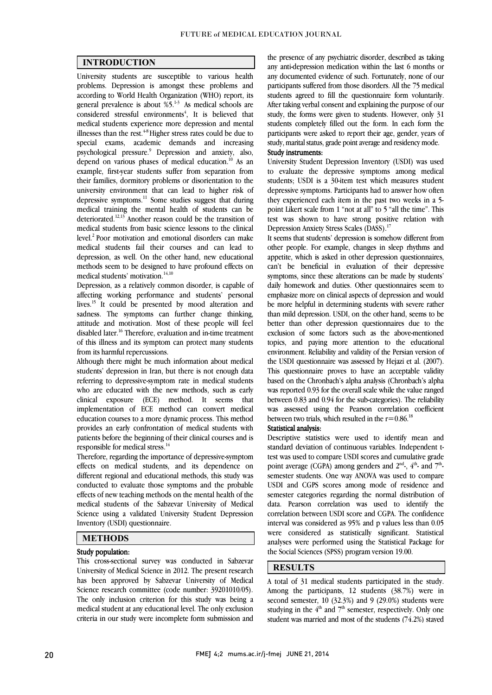$\overline{a}$  $\overline{a}$ 

## INTRODUCTION

 University students are susceptible to various health problems. Depression is amongst these problems and according to world retain Organization (write) report, its<br>general prevalence is about %5.<sup>13</sup> As medical schools are  $\frac{1}{2}$  considered stressful environments<sup>4</sup>, It is believed that medical students experience more depression and mental illnesses than the rest. $^{4.8}$  Higher stress rates could be due to psychological pressure.9 Depression and anxiety, also, depend on various phases of medical education.<sup>10</sup> As an example, first-year students suffer from separation from their lamilies, dormitory problems or disorientation to the<br>university environment that can lead to higher risk of depressive symptoms.<sup>11</sup> Some studies suggest that during medical training the mental health of students can be deteriorated.<sup>12,13</sup> Another reason could be the transition of medical students from basic science lessons to the clinical<br>level.<sup>2</sup> Poor motivation and emotional disorders can make medical students fail their courses and can lead to depression, as well. On the other hand, new educational methods seem to be designed to have profound effects on according to World Health Organization (WHO) report, its special exams, academic demands and increasing their families, dormitory problems or disorientation to the medical students from basic science lessons to the clinical medical students' motivation.<sup>14,10</sup>

 Depression, as a relatively common disorder, is capable of affecting working performance and students' personal lives.<sup>15</sup> It could be presented by mood alteration and sadness. The symptoms can further change thinking, disabled later.<sup>16</sup> Therefore, evaluation and in-time treatment of this illness and its symptom can protect many students attitude and motivation. Most of these people will feel from its harmful repercussions.

 Although there might be much information about medical referring to depressive-symptom rate in medical students who are educated with the new methods, such as early clinical exposure (ECE) method. It seems that implementation of ECE method can convert medical provides an early confrontation of medical students with patients before the beginning of their clinical courses and is students' depression in Iran, but there is not enough data education courses to a more dynamic process. This method responsible for medical stress.14

Incretore, regarding the importance of depressive-symptom<br>effects on medical students, and its dependence on different regional and educational methods, this study was conducted to evaluate those symptoms and the probable effects of new teaching methods on the mental health of the a<br>. Science using a validated University Student Depression<br>Inventory (USDI) questionnaire. Therefore, regarding the importance of depressive-symptom medical students of the Sabzevar University of Medical Inventory (USDI) questionnaire.

### METHODS

#### Study population:

 This cross-sectional survey was conducted in Sabzevar University of Medical Science in 2012. The present research has been approved by Sabzevar University of Medical Science research committee (code number: 39201010/05). medical student at any educational level. The only exclusion medical student at any educational level. The only exclusion criteria in our study were incomplete form submission and The only inclusion criterion for this study was being a

 any anti-depression medication within the last 6 months or any documented evidence of such. Fortunately, none of our participants suffered from those disorders. All the 75 medical After taking verbal consent and explaining the purpose of our study, the forms were given to students. However, only 31 students completely filled out the form. In each form the participants were asked to report their age, gender, years of the presence of any psychiatric disorder, described as taking students agreed to fill the questionnaire form voluntarily. study, marital status, grade point average and residency mode.

#### Study instruments:

 University Student Depression Inventory (USDI) was used to evaluate the depressive symptoms among medical students; USDI is a 50-tiem test which measures student<br>depressive symptoms. Participants had to answer how often they experienced each item in the past two weeks in a 5- point Likert scale from 1 "not at all" to 5 "all the time". This test was shown to have strong positive relation with students; USDI is a 30-item test which measures student Depression Anxiety Stress Scales (DASS).<sup>17</sup>

 It seems that students' depression is somehow different from other people. For example, changes in sleep rhythms and appetite, which is asked in other depression questionnaires, can't be beneficial in evaluation of their depressive daily homework and duties. Other questionnaires seem to emphasize more on clinical aspects of depression and would be more helpful in determining students with severe rather than mild depression. USDI, on the other hand, seems to be exclusion of some factors such as the above-mentioned topics, and paying more attention to the educational environment. Reliability and validity of the Persian version of the USDI questionnaire was assessed by Hejazi et al. (2007). based on the Chronbach's alpha analysis (Chronbach's alpha was reported 0.93 for the overall scale while the value ranged between 0.83 and 0.94 for the sub-categories). The reliability was assessed using the Pearson correlation coefficient<br>hetween two trials which resulted in the  $n = 0.96^{18}$ symptoms, since these alterations can be made by students' better than other depression questionnaires due to the This questionnaire proves to have an acceptable validity between two trials, which resulted in the  $r = 0.86$ .<sup>18</sup>

### Statistical analysis:

 Descriptive statistics were used to identify mean and standard deviation of continuous variables. Independent tpoint average (CGPA) among genders and  $2<sup>nd</sup>$ ,  $4<sup>th</sup>$  and  $7<sup>th</sup>$ . semester students. One way ANOVA was used to compare USDI and CGPS scores among mode of residence and semester categories regarding the normal distribution of correlation between USDI score and CGPA. The confidence interval was considered as 95% and p values less than 0.05 were considered as statistically significant. Statistical analyses were performed using the Statistical Package for  $\overline{a}$ test was used to compare USDI scores and cumulative grade data. Pearson correlation was used to identify the the Social Sciences (SPSS) program version 19.00.

## RESULTS

 A total of 31 medical students participated in the study. Among the participants, 12 students (38.7%) were in studying in the  $4<sup>th</sup>$  and  $7<sup>th</sup>$  semester, respectively. Only one student was married and most of the students (74.2%) stayed second semester, 10 (32.3%) and 9 (29.0%) students were

 $\overline{a}$ 

j  $\overline{a}$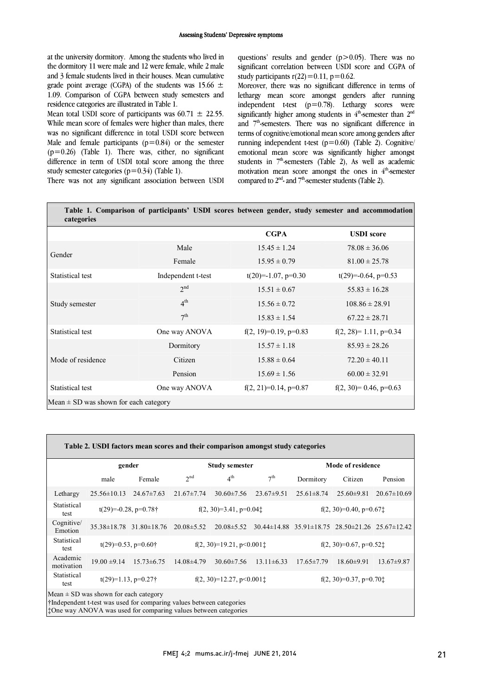at the university dormitory. Among the students who lived in the dormitory 11 were male and 12 were female, while 2 male and 3 female students lived in their houses. Mean cumulative grade point average (CGPA) of the students was  $15.66 \pm 1.00$ 1.09. Comparison of CGPA between study semesters and residence categories are illustrated in Table 1 residence categories are illustrated in Table 1.

Mean total USDI score of participants was  $60.71 \pm 22.55$ . While mean score of females were higher than males, there was no significant difference in total USDI score between<br>Male and female participants (p=0.84) or the semester  $(p = 0.26)$  (Table 1). There was, either, no significant difference in term of USDI total score among the three was no significant difference in total USDI score between study semester categories ( $p=0.34$ ) (Table 1).

questions' results and gender  $(p>0.05)$ . There was no significant correlation between USDI score and CGPA of study participants  $r(22)=0.11$ ,  $p=0.62$ .

 Moreover, there was no significant difference in terms of independent t-test (p=0.78). Lethargy scores were and  $7<sup>th</sup>$ -semesters. There was no significant difference in running independent t-test (p=0.60) (Table 2). Cognitive/ emotional mean score was significantly higher amongst students in  $7<sup>th</sup>$ -semesters (Table 2), As well as academic motivation mean score amongst the ones in  $4<sup>th</sup>$ -semester lethargy mean score amongst genders after running significantly higher among students in  $4<sup>th</sup>$ -semester than  $2<sup>nd</sup>$ terms of cognitive/emotional mean score among genders after compared to  $2<sup>nd</sup>$ - and  $7<sup>th</sup>$ -semester students (Table 2).

There was not any significant association between USDI

| Table 1. Comparison of participants' USDI scores between gender, study semester and accommodation<br>categories |                    |                            |                           |  |  |  |  |  |
|-----------------------------------------------------------------------------------------------------------------|--------------------|----------------------------|---------------------------|--|--|--|--|--|
|                                                                                                                 |                    | <b>CGPA</b>                | <b>USDI</b> score         |  |  |  |  |  |
| Gender                                                                                                          | Male               | $15.45 \pm 1.24$           | $78.08 \pm 36.06$         |  |  |  |  |  |
|                                                                                                                 | Female             | $15.95 \pm 0.79$           | $81.00 \pm 25.78$         |  |  |  |  |  |
| Statistical test                                                                                                | Independent t-test | $t(20)=-1.07$ , $p=0.30$   | $t(29)=-0.64$ , p=0.53    |  |  |  |  |  |
| Study semester                                                                                                  | 2 <sub>nd</sub>    | $15.51 \pm 0.67$           | $55.83 \pm 16.28$         |  |  |  |  |  |
|                                                                                                                 | 4 <sup>th</sup>    | $15.56 \pm 0.72$           | $108.86 \pm 28.91$        |  |  |  |  |  |
|                                                                                                                 | 7 <sup>th</sup>    | $15.83 \pm 1.54$           | $67.22 \pm 28.71$         |  |  |  |  |  |
| Statistical test                                                                                                | One way ANOVA      | f(2, 19)=0.19, p=0.83      | $f(2, 28)=1.11$ , p=0.34  |  |  |  |  |  |
| Mode of residence                                                                                               | Dormitory          | $15.57 \pm 1.18$           | $85.93 \pm 28.26$         |  |  |  |  |  |
|                                                                                                                 | Citizen            | $15.88 \pm 0.64$           | $72.20 \pm 40.11$         |  |  |  |  |  |
|                                                                                                                 | Pension            | $15.69 \pm 1.56$           | $60.00 \pm 32.91$         |  |  |  |  |  |
| Statistical test                                                                                                | One way ANOVA      | $f(2, 21)=0.14$ , $p=0.87$ | $f(2, 30)= 0.46$ , p=0.63 |  |  |  |  |  |
| Mean $\pm$ SD was shown for each category                                                                       |                    |                            |                           |  |  |  |  |  |
|                                                                                                                 |                    |                            |                           |  |  |  |  |  |

| Table 2. USDI factors mean scores and their comparison amongst study categories                                                                                                         |                                 |                                     |                             |                  |                                     |                                     |                                                                         |                   |  |  |
|-----------------------------------------------------------------------------------------------------------------------------------------------------------------------------------------|---------------------------------|-------------------------------------|-----------------------------|------------------|-------------------------------------|-------------------------------------|-------------------------------------------------------------------------|-------------------|--|--|
|                                                                                                                                                                                         | gender                          |                                     | <b>Study semester</b>       |                  | Mode of residence                   |                                     |                                                                         |                   |  |  |
|                                                                                                                                                                                         | male                            | Female                              | 2 <sup>nd</sup>             | 4 <sup>th</sup>  | 7 <sup>th</sup>                     | Dormitory                           | Citizen                                                                 | Pension           |  |  |
| Lethargy                                                                                                                                                                                | $25.56 \pm 10.13$               | $24.67 \pm 7.63$                    | $21.67 \pm 7.74$            | $30.60 \pm 7.56$ | $23.67 \pm 9.51$                    | $25.61 \pm 8.74$                    | $25.60 \pm 9.81$                                                        | $20.67 \pm 10.69$ |  |  |
| Statistical<br>test                                                                                                                                                                     | $t(29)=-0.28$ , $p=0.78\dagger$ |                                     | $f(2, 30)=3.41$ , $p=0.041$ |                  |                                     | $f(2, 30)=0.40$ , p=0.67 $\ddagger$ |                                                                         |                   |  |  |
| Cognitive/<br>Emotion                                                                                                                                                                   |                                 | $35.38 \pm 18.78$ $31.80 \pm 18.76$ | $20.08 \pm 5.52$            | $20.08 \pm 5.52$ |                                     |                                     | $30.44 \pm 14.88$ $35.91 \pm 18.75$ $28.50 \pm 21.26$ $25.67 \pm 12.42$ |                   |  |  |
| Statistical<br>test                                                                                                                                                                     | $t(29)=0.53$ , $p=0.60\dagger$  |                                     | $f(2, 30)=19.21, p<0.0011$  |                  | $f(2, 30)=0.67$ , $p=0.52$          |                                     |                                                                         |                   |  |  |
| Academic<br>motivation                                                                                                                                                                  | $19.00 \pm 9.14$                | $15.73\pm 6.75$                     | $14.08\pm4.79$              | $30.60 \pm 7.56$ | $13.11 \pm 6.33$                    | $17.65 \pm 7.79$                    | $18.60 \pm 9.91$                                                        | $13.67 \pm 9.87$  |  |  |
| Statistical<br>test                                                                                                                                                                     | $t(29)=1.13$ , $p=0.27\dagger$  |                                     | $f(2, 30)=12.27, p<0.0011$  |                  | $f(2, 30)=0.37$ , p=0.70 $\ddagger$ |                                     |                                                                         |                   |  |  |
| Mean $\pm$ SD was shown for each category<br>if Independent t-test was used for comparing values between categories<br>: One way ANOVA was used for comparing values between categories |                                 |                                     |                             |                  |                                     |                                     |                                                                         |                   |  |  |

 $\overline{a}$ 

٦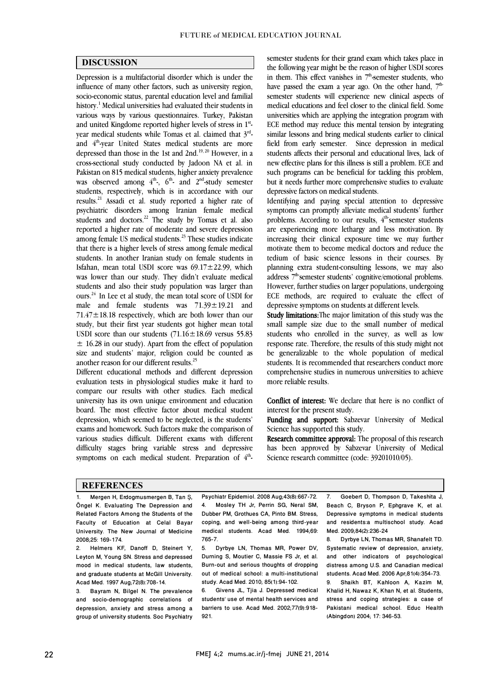$\overline{a}$  $\overline{a}$ 

### DISCUSSION

 Depression is a multifactorial disorder which is under the influence of many other factors, such as university region, socio-economic status, parental equication level and laminal<br>history.<sup>1</sup> Medical universities had evaluated their students in various ways by various questionnaires. Turkey, Pakistan and united Kingdome reported higher levels of stress in 1st. year medical students while Tomas et al. claimed that 3<sup>rd</sup>depressed than those in the 1st and  $2nd.^{19,20}$  However, in a cross-sectional study conducted by Jadoon NA et al. in Pakistan on 815 medical students, higher anxiety prevalence was observed among  $4<sup>th</sup>$ ,  $6<sup>th</sup>$  and  $2<sup>nd</sup>$ -study semester results.<sup>21</sup> Assadi et al. study reported a higher rate of psychiatric disorders among Iranian female medical students and doctors.<sup>22</sup> The study by Tomas et al. also reported a higher rate of moderate and severe depression that there is a higher levels of stress among female medical students. In another Iranian study on female students in Isfahan, mean total USDI score was 69.17±22.99, which was lower than our study. They didn't evaluate medical  $\frac{24}{10}$  In Lee et al study, the mean total score of USDI for male and female students was 71.39±19.21 and 71.47±18.18 respectively, which are both lower than our USDI score than our students (71.16±18.69 versus 55.83  $\pm$  16.28 in our study). Apart from the effect of population size and students' major, religion could be counted as socio-economic status, parental education level and familial and 4th-year United States medical students are more students, respectively, which is in accordance with our among female US medical students.<sup>23</sup> These studies indicate students and also their study population was larger than study, but their first year students got higher mean total another reason for our different results.25

 evaluation tests in physiological studies make it hard to compare our results with other studies. Each medical university has its own unique environment and education board. The most effective factor about medical student exams and homework. Such factors make the comparison of various studies difficult. Different exams with different difficulty stages bring variable stress and depressive symptoms on each medical student. Preparation of  $4<sup>th</sup>$ Different educational methods and different depression depression, which seemed to be neglected, is the students'

 semester students for their grand exam which takes place in the following year might be the reason of higher USDI scores in them. This effect vanishes in  $7<sup>th</sup>$ -semester students, who have passed the exam a year ago. On the other hand,  $7<sup>th</sup>$ semester students will experience new clinical aspects of universities which are applying the integration program with ECE method may reduce this mental tension by integrating similar lessons and bring medical students earlier to clinical students affects their personal and educational lives, lack of new effective plans for this illness is still a problem. ECE and such programs can be beneficial for tackling this problem, but it needs further more comprehensive studies to evaluate medical educations and feel closer to the clinical field. Some field from early semester. Since depression in medical depressive factors on medical students.

 Identifying and paying special attention to depressive symptoms can promptly alleviate medical students' further problems. According to our results,  $4<sup>th</sup>$  semester students are experiencing more lethargy and less motivation. By motivate them to become medical doctors and reduce the tedium of basic science lessons in their courses. By planning extra student-consulting lessons, we may also address 7<sup>th</sup> semester students' cognitive/emotional problems. ECE methods, are required to evaluate the effect of increasing their clinical exposure time we may further However, further studies on larger populations, undergoing depressive symptoms on students at different levels.

 Study limitations:The major limitation of this study was the sman sample size due to the sman number of medical<br>students who enrolled in the survey, as well as low response rate. Therefore, the results of this study might not be generalizable to the whole population of medical students. It is recommended that researchers conduct more comprehensive studies in numerous universities to achieve small sample size due to the small number of medical more reliable results.

 Conflict of interest: We declare that here is no conflict of  $\overline{a}$ interest for the present study.

**Funding and support:** Sabzevar University of Medical Science has supported this study.

Research committee approval: The proposal of this research has been approved by Sabzevar University of Medical Science research committee (code: 39201010/05).

#### **REFERENCES**

1. Mergen H, Erdogmusmergen B, Tan Ş, Öngel K. Evaluating The Depression and Related Factors Among the Students of the Faculty of Education at Celal Bayar University. The New Journal of Medicine 2008;25: 169-174.<br>2 Helmers Kl

2. Helmers KF, Danoff D, Steinert Y, Leyton M, Young SN. Stress and depressed mood in medical students, law students, and graduate students at McGill University. Acad Med. 1997 Aug; 72(8): 708-14.<br>3 Bayram N. Bilgel N. The n.

Bayram N, Bilgel N. The prevalence and socio-demographic correlations of depression, anxiety and stress among a group of university students. Soc Psychiatry

 Psychiatr Epidemiol. 2008 Aug;43(8):667-72. 4. Mosley TH Jr, Perrin SG, Neral SM, coping, and well-being among third-year medical students. Acad Med. 1994;69: Dubber PM, Grothues CA, Pinto BM. Stress, 765-7.

 5. Dyrbye LN, Thomas MR, Power DV, Durning S, Moutier C, Massie FS Jr, et al. Burn-out and serious thoughts of dropping<br>aut of modiael sebeck a multi-institutional study. Acad Med. 2010; 85(1):94-102. out of medical school: a multi-institutional

 6. Givens JL, Tjia J. Depressed medical barriers to use. Acad Med. 2002;77(9):918 students' use of mental health services and 921.

 7. Goebert D, Thompson D, Takeshita J, Beach C, Bryson P, Ephgrave K, et al. and residents:a multischool study. Acad J Depressive symptoms in medical students Med. 2009;84(2):236-24

Systematic review of depression, anxiety, and other indicators of psychological distress among U.S. and Canadian medical 8. Dyrbye LN, Thomas MR, Shanafelt TD. students. Acad Med. 2006 Apr;81(4):354-73.<br>9 Shaikh BT Kahloon A Kazim M

 9. Shaikh BT, Kahloon A, Kazim M, Khalid H, Nawaz K, Khan N, et al. Students, Pakistani medical school. Educ Health stress and coping strategies: a case of (Abingdon) 2004; 17: 346-53.